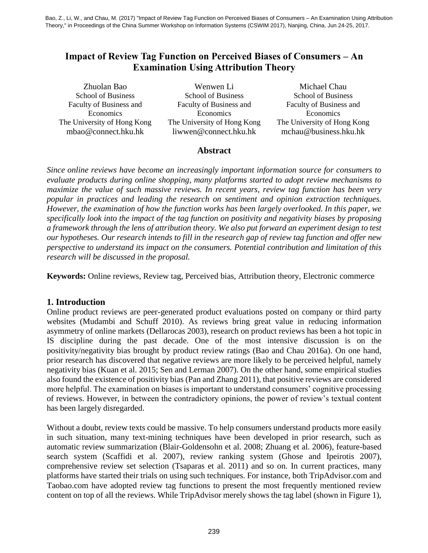# **Impact of Review Tag Function on Perceived Biases of Consumers – An Examination Using Attribution Theory**

School of Business Faculty of Business and Economics The University of Hong Kong

Zhuolan Bao Wenwen Li Michael Chau School of Business Faculty of Business and Economics The University of Hong Kong mbao@connect.hku.hk liwwen@connect.hku.hk mchau@business.hku.hk

School of Business Faculty of Business and Economics The University of Hong Kong

### **Abstract**

*Since online reviews have become an increasingly important information source for consumers to evaluate products during online shopping, many platforms started to adopt review mechanisms to maximize the value of such massive reviews. In recent years, review tag function has been very popular in practices and leading the research on sentiment and opinion extraction techniques. However, the examination of how the function works has been largely overlooked. In this paper, we specifically look into the impact of the tag function on positivity and negativity biases by proposing a framework through the lens of attribution theory. We also put forward an experiment design to test our hypotheses. Our research intends to fill in the research gap of review tag function and offer new perspective to understand its impact on the consumers. Potential contribution and limitation of this research will be discussed in the proposal.*

**Keywords:** Online reviews, Review tag, Perceived bias, Attribution theory, Electronic commerce

# **1. Introduction**

Online product reviews are peer-generated product evaluations posted on company or third party websites (Mudambi and Schuff 2010). As reviews bring great value in reducing information asymmetry of online markets (Dellarocas 2003), research on product reviews has been a hot topic in IS discipline during the past decade. One of the most intensive discussion is on the positivity/negativity bias brought by product review ratings (Bao and Chau 2016a). On one hand, prior research has discovered that negative reviews are more likely to be perceived helpful, namely negativity bias (Kuan et al. 2015; Sen and Lerman 2007). On the other hand, some empirical studies also found the existence of positivity bias (Pan and Zhang 2011), that positive reviews are considered more helpful. The examination on biases is important to understand consumers' cognitive processing of reviews. However, in between the contradictory opinions, the power of review's textual content has been largely disregarded.

Without a doubt, review texts could be massive. To help consumers understand products more easily in such situation, many text-mining techniques have been developed in prior research, such as automatic review summarization (Blair-Goldensohn et al. 2008; Zhuang et al. 2006), feature-based search system (Scaffidi et al. 2007), review ranking system (Ghose and Ipeirotis 2007), comprehensive review set selection (Tsaparas et al. 2011) and so on. In current practices, many platforms have started their trials on using such techniques. For instance, both TripAdvisor.com and Taobao.com have adopted review tag functions to present the most frequently mentioned review content on top of all the reviews. While TripAdvisor merely shows the tag label (shown in Figure 1),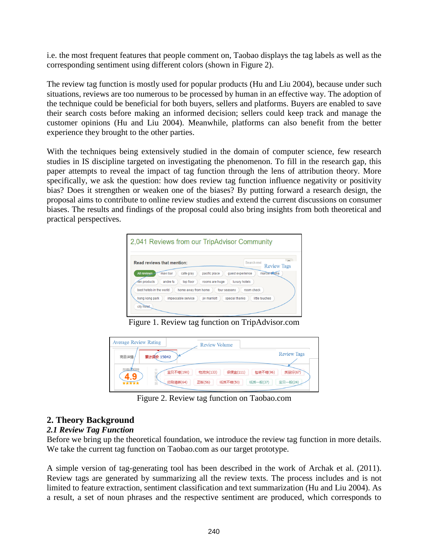i.e. the most frequent features that people comment on, Taobao displays the tag labels as well as the corresponding sentiment using different colors (shown in Figure 2).

The review tag function is mostly used for popular products (Hu and Liu 2004), because under such situations, reviews are too numerous to be processed by human in an effective way. The adoption of the technique could be beneficial for both buyers, sellers and platforms. Buyers are enabled to save their search costs before making an informed decision; sellers could keep track and manage the customer opinions (Hu and Liu 2004). Meanwhile, platforms can also benefit from the better experience they brought to the other parties.

With the techniques being extensively studied in the domain of computer science, few research studies in IS discipline targeted on investigating the phenomenon. To fill in the research gap, this paper attempts to reveal the impact of tag function through the lens of attribution theory. More specifically, we ask the question: how does review tag function influence negativity or positivity bias? Does it strengthen or weaken one of the biases? By putting forward a research design, the proposal aims to contribute to online review studies and extend the current discussions on consumer biases. The results and findings of the proposal could also bring insights from both theoretical and practical perspectives.

| <b>Read reviews that mention:</b>                                 |                | Search revi      | $\sim$                             |
|-------------------------------------------------------------------|----------------|------------------|------------------------------------|
| All reviews<br>maxi bar<br>cafe gray                              | pacific place  | quest experience | <b>Review Tags</b><br>marcel thoma |
|                                                                   |                |                  |                                    |
| top floor<br>Ten products<br>andre fu<br>best hotels in the world | rooms are huge | luxury hotels    |                                    |

Figure 1. Review tag function on TripAdvisor.com

| <b>Average Review Rating</b><br>Review Volume                                                                       |                     |
|---------------------------------------------------------------------------------------------------------------------|---------------------|
| 累计评价 15042<br>商品详情                                                                                                  | <b>Review Tags</b>  |
| 与描述组符<br>去<br>宝贝不错(190)<br>很便宜(111)<br>物流快(133)<br>包装不错(96)<br>i<br>B<br>印刷清晰(64)<br>正版(56)<br>纸质不错(50)<br>纸质一般(37) | 质量好(67)<br>宝贝一般(24) |
|                                                                                                                     |                     |

Figure 2. Review tag function on Taobao.com

# **2. Theory Background**

### *2.1 Review Tag Function*

Before we bring up the theoretical foundation, we introduce the review tag function in more details. We take the current tag function on Taobao.com as our target prototype.

A simple version of tag-generating tool has been described in the work of Archak et al. (2011). Review tags are generated by summarizing all the review texts. The process includes and is not limited to feature extraction, sentiment classification and text summarization (Hu and Liu 2004). As a result, a set of noun phrases and the respective sentiment are produced, which corresponds to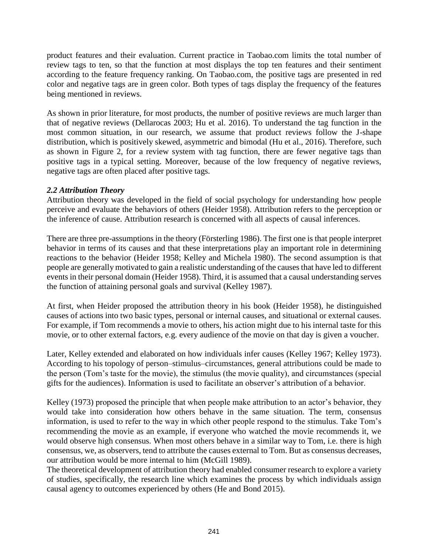product features and their evaluation. Current practice in Taobao.com limits the total number of review tags to ten, so that the function at most displays the top ten features and their sentiment according to the feature frequency ranking. On Taobao.com, the positive tags are presented in red color and negative tags are in green color. Both types of tags display the frequency of the features being mentioned in reviews.

As shown in prior literature, for most products, the number of positive reviews are much larger than that of negative reviews (Dellarocas 2003; Hu et al. 2016). To understand the tag function in the most common situation, in our research, we assume that product reviews follow the J-shape distribution, which is positively skewed, asymmetric and bimodal (Hu et al., 2016). Therefore, such as shown in Figure 2, for a review system with tag function, there are fewer negative tags than positive tags in a typical setting. Moreover, because of the low frequency of negative reviews, negative tags are often placed after positive tags.

#### *2.2 Attribution Theory*

Attribution theory was developed in the field of social psychology for understanding how people perceive and evaluate the behaviors of others (Heider 1958). Attribution refers to the perception or the inference of cause. Attribution research is concerned with all aspects of causal inferences.

There are three pre-assumptions in the theory (Försterling 1986). The first one is that people interpret behavior in terms of its causes and that these interpretations play an important role in determining reactions to the behavior (Heider 1958; Kelley and Michela 1980). The second assumption is that people are generally motivated to gain a realistic understanding of the causes that have led to different events in their personal domain (Heider 1958). Third, it is assumed that a causal understanding serves the function of attaining personal goals and survival (Kelley 1987).

At first, when Heider proposed the attribution theory in his book (Heider 1958), he distinguished causes of actions into two basic types, personal or internal causes, and situational or external causes. For example, if Tom recommends a movie to others, his action might due to his internal taste for this movie, or to other external factors, e.g. every audience of the movie on that day is given a voucher.

Later, Kelley extended and elaborated on how individuals infer causes (Kelley 1967; Kelley 1973). According to his topology of person–stimulus–circumstances, general attributions could be made to the person (Tom's taste for the movie), the stimulus (the movie quality), and circumstances (special gifts for the audiences). Information is used to facilitate an observer's attribution of a behavior.

Kelley (1973) proposed the principle that when people make attribution to an actor's behavior, they would take into consideration how others behave in the same situation. The term, consensus information, is used to refer to the way in which other people respond to the stimulus. Take Tom's recommending the movie as an example, if everyone who watched the movie recommends it, we would observe high consensus. When most others behave in a similar way to Tom, i.e. there is high consensus, we, as observers, tend to attribute the causes external to Tom. But as consensus decreases, our attribution would be more internal to him (McGill 1989).

The theoretical development of attribution theory had enabled consumer research to explore a variety of studies, specifically, the research line which examines the process by which individuals assign causal agency to outcomes experienced by others (He and Bond 2015).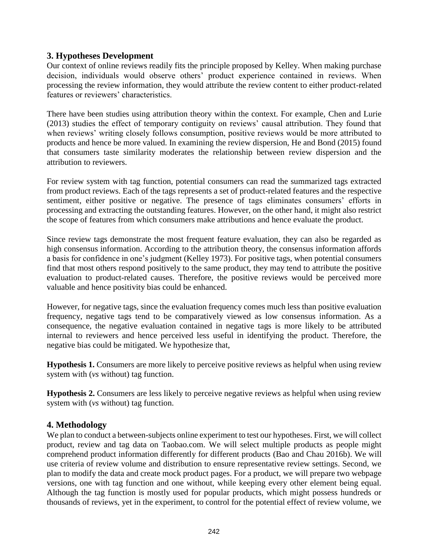### **3. Hypotheses Development**

Our context of online reviews readily fits the principle proposed by Kelley. When making purchase decision, individuals would observe others' product experience contained in reviews. When processing the review information, they would attribute the review content to either product-related features or reviewers' characteristics.

There have been studies using attribution theory within the context. For example, Chen and Lurie (2013) studies the effect of temporary contiguity on reviews' causal attribution. They found that when reviews' writing closely follows consumption, positive reviews would be more attributed to products and hence be more valued. In examining the review dispersion, He and Bond (2015) found that consumers taste similarity moderates the relationship between review dispersion and the attribution to reviewers.

For review system with tag function, potential consumers can read the summarized tags extracted from product reviews. Each of the tags represents a set of product-related features and the respective sentiment, either positive or negative. The presence of tags eliminates consumers' efforts in processing and extracting the outstanding features. However, on the other hand, it might also restrict the scope of features from which consumers make attributions and hence evaluate the product.

Since review tags demonstrate the most frequent feature evaluation, they can also be regarded as high consensus information. According to the attribution theory, the consensus information affords a basis for confidence in one's judgment (Kelley 1973). For positive tags, when potential consumers find that most others respond positively to the same product, they may tend to attribute the positive evaluation to product-related causes. Therefore, the positive reviews would be perceived more valuable and hence positivity bias could be enhanced.

However, for negative tags, since the evaluation frequency comes much less than positive evaluation frequency, negative tags tend to be comparatively viewed as low consensus information. As a consequence, the negative evaluation contained in negative tags is more likely to be attributed internal to reviewers and hence perceived less useful in identifying the product. Therefore, the negative bias could be mitigated. We hypothesize that,

**Hypothesis 1.** Consumers are more likely to perceive positive reviews as helpful when using review system with (*vs* without) tag function.

**Hypothesis 2.** Consumers are less likely to perceive negative reviews as helpful when using review system with (*vs* without) tag function.

# **4. Methodology**

We plan to conduct a between-subjects online experiment to test our hypotheses. First, we will collect product, review and tag data on Taobao.com. We will select multiple products as people might comprehend product information differently for different products (Bao and Chau 2016b). We will use criteria of review volume and distribution to ensure representative review settings. Second, we plan to modify the data and create mock product pages. For a product, we will prepare two webpage versions, one with tag function and one without, while keeping every other element being equal. Although the tag function is mostly used for popular products, which might possess hundreds or thousands of reviews, yet in the experiment, to control for the potential effect of review volume, we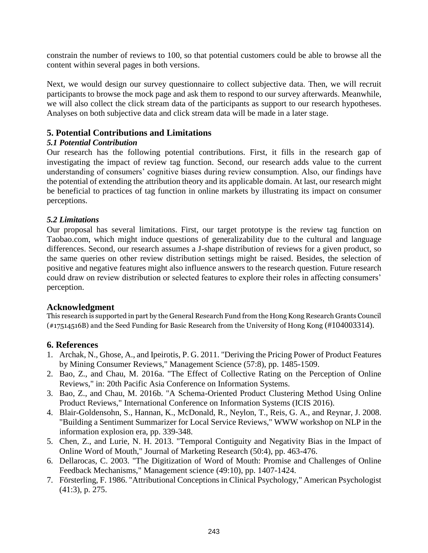constrain the number of reviews to 100, so that potential customers could be able to browse all the content within several pages in both versions.

Next, we would design our survey questionnaire to collect subjective data. Then, we will recruit participants to browse the mock page and ask them to respond to our survey afterwards. Meanwhile, we will also collect the click stream data of the participants as support to our research hypotheses. Analyses on both subjective data and click stream data will be made in a later stage.

### **5. Potential Contributions and Limitations**

### *5.1 Potential Contribution*

Our research has the following potential contributions. First, it fills in the research gap of investigating the impact of review tag function. Second, our research adds value to the current understanding of consumers' cognitive biases during review consumption. Also, our findings have the potential of extending the attribution theory and its applicable domain. At last, our research might be beneficial to practices of tag function in online markets by illustrating its impact on consumer perceptions.

### *5.2 Limitations*

Our proposal has several limitations. First, our target prototype is the review tag function on Taobao.com, which might induce questions of generalizability due to the cultural and language differences. Second, our research assumes a J-shape distribution of reviews for a given product, so the same queries on other review distribution settings might be raised. Besides, the selection of positive and negative features might also influence answers to the research question. Future research could draw on review distribution or selected features to explore their roles in affecting consumers' perception.

### **Acknowledgment**

This research is supported in part by the General Research Fund from the Hong Kong Research Grants Council (#17514516B) and the Seed Funding for Basic Research from the University of Hong Kong (#104003314).

### **6. References**

- 1. Archak, N., Ghose, A., and Ipeirotis, P. G. 2011. "Deriving the Pricing Power of Product Features by Mining Consumer Reviews," Management Science (57:8), pp. 1485-1509.
- 2. Bao, Z., and Chau, M. 2016a. "The Effect of Collective Rating on the Perception of Online Reviews," in: 20th Pacific Asia Conference on Information Systems.
- 3. Bao, Z., and Chau, M. 2016b. "A Schema-Oriented Product Clustering Method Using Online Product Reviews," International Conference on Information Systems (ICIS 2016).
- 4. Blair-Goldensohn, S., Hannan, K., McDonald, R., Neylon, T., Reis, G. A., and Reynar, J. 2008. "Building a Sentiment Summarizer for Local Service Reviews," WWW workshop on NLP in the information explosion era, pp. 339-348.
- 5. Chen, Z., and Lurie, N. H. 2013. "Temporal Contiguity and Negativity Bias in the Impact of Online Word of Mouth," Journal of Marketing Research (50:4), pp. 463-476.
- 6. Dellarocas, C. 2003. "The Digitization of Word of Mouth: Promise and Challenges of Online Feedback Mechanisms," Management science (49:10), pp. 1407-1424.
- 7. Försterling, F. 1986. "Attributional Conceptions in Clinical Psychology," American Psychologist (41:3), p. 275.